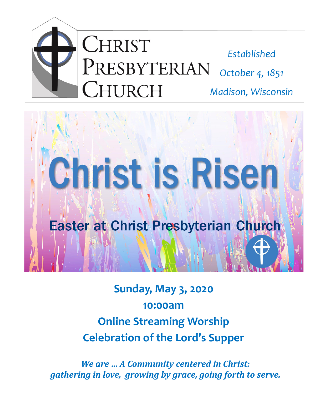



**Sunday, May 3, 2020 10:00am Online Streaming Worship Celebration of the Lord's Supper**

*We are … A Community centered in Christ: gathering in love, growing by grace, going forth to serve.*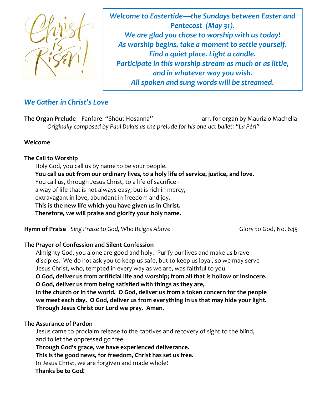

*Welcome to Eastertide—the Sundays between Easter and Pentecost (May 31). We are glad you chose to worship with us today! As worship begins, take a moment to settle yourself. Find a quiet place. Light a candle. Participate in this worship stream as much or as little, and in whatever way you wish. All spoken and sung words will be streamed.* 

## *We Gather in Christ's Love*

**The Organ Prelude** Fanfare: "Shout Hosanna" arr. for organ by Maurizio Machella *Originally composed by Paul Dukas as the prelude for his one-act ballet: "La Péri"*

#### **Welcome**

#### **The Call to Worship**

Holy God, you call us by name to be your people.

**You call us out from our ordinary lives, to a holy life of service, justice, and love.**

You call us, through Jesus Christ, to a life of sacrifice -

a way of life that is not always easy, but is rich in mercy,

extravagant in love, abundant in freedom and joy.

**This is the new life which you have given us in Christ.**

**Therefore, we will praise and glorify your holy name.**

**Hymn of Praise** Sing Praise to God, Who Reigns Above **Gulf Constructs** Glory to God, No. 645

### **The Prayer of Confession and Silent Confession**

Almighty God, you alone are good and holy. Purify our lives and make us brave disciples. We do not ask you to keep us safe, but to keep us loyal, so we may serve Jesus Christ, who, tempted in every way as we are, was faithful to you.

**O God, deliver us from artificial life and worship; from all that is hollow or insincere. O God, deliver us from being satisfied with things as they are,** 

**in the church or in the world. O God, deliver us from a token concern for the people we meet each day. O God, deliver us from everything in us that may hide your light. Through Jesus Christ our Lord we pray. Amen.**

#### **The Assurance of Pardon**

Jesus came to proclaim release to the captives and recovery of sight to the blind, and to let the oppressed go free.

**Through God's grace, we have experienced deliverance.**

**This is the good news, for freedom, Christ has set us free.**

In Jesus Christ, we are forgiven and made whole!

 **Thanks be to God!**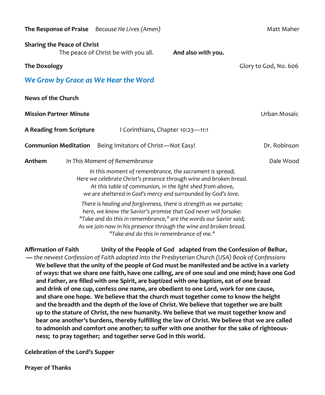|                                                                    | The Response of Praise Because He Lives (Amen)                                                                                                                                                                                                                                                                              |                    | Matt Maher            |
|--------------------------------------------------------------------|-----------------------------------------------------------------------------------------------------------------------------------------------------------------------------------------------------------------------------------------------------------------------------------------------------------------------------|--------------------|-----------------------|
| <b>Sharing the Peace of Christ</b>                                 | The peace of Christ be with you all.                                                                                                                                                                                                                                                                                        | And also with you. |                       |
| <b>The Doxology</b>                                                |                                                                                                                                                                                                                                                                                                                             |                    | Glory to God, No. 606 |
| We Grow by Grace as We Hear the Word                               |                                                                                                                                                                                                                                                                                                                             |                    |                       |
| News of the Church                                                 |                                                                                                                                                                                                                                                                                                                             |                    |                       |
| <b>Mission Partner Minute</b>                                      |                                                                                                                                                                                                                                                                                                                             | Urban Mosaic       |                       |
| A Reading from Scripture<br>I Corinthians, Chapter 10:23-11:1      |                                                                                                                                                                                                                                                                                                                             |                    |                       |
| Being Imitators of Christ-Not Easy!<br><b>Communion Meditation</b> |                                                                                                                                                                                                                                                                                                                             |                    | Dr. Robinson          |
| Anthem<br>In This Moment of Remembrance                            |                                                                                                                                                                                                                                                                                                                             |                    | Dale Wood             |
|                                                                    | In this moment of remembrance, the sacrament is spread;<br>Here we celebrate Christ's presence through wine and broken bread.<br>At this table of communion, in the light shed from above,<br>we are sheltered in God's mercy and surrounded by God's love.                                                                 |                    |                       |
|                                                                    | There is healing and forgiveness, there is strength as we partake;<br>here, we know the Savior's promise that God never will forsake:<br>"Take and do this in remembrance," are the words our Savior said;<br>As we join now in his presence through the wine and broken bread.<br>"Take and do this in remembrance of me." |                    |                       |

**Affirmation of Faith Unity of the People of God adapted from the Confession of Belhar, —** *the newest Confession of Faith adopted into the Presbyterian Church (USA) Book of Confessions* **We believe that the unity of the people of God must be manifested and be active in a variety of ways: that we share one faith, have one calling, are of one soul and one mind; have one God and Father, are filled with one Spirit, are baptized with one baptism, eat of one bread and drink of one cup, confess one name, are obedient to one Lord, work for one cause, and share one hope. We believe that the church must together come to know the height and the breadth and the depth of the love of Christ. We believe that together we are built up to the stature of Christ, the new humanity. We believe that we must together know and bear one another's burdens, thereby fulfilling the law of Christ. We believe that we are called to admonish and comfort one another; to suffer with one another for the sake of righteousness; to pray together; and together serve God in this world.**

**Celebration of the Lord's Supper**

**Prayer of Thanks**